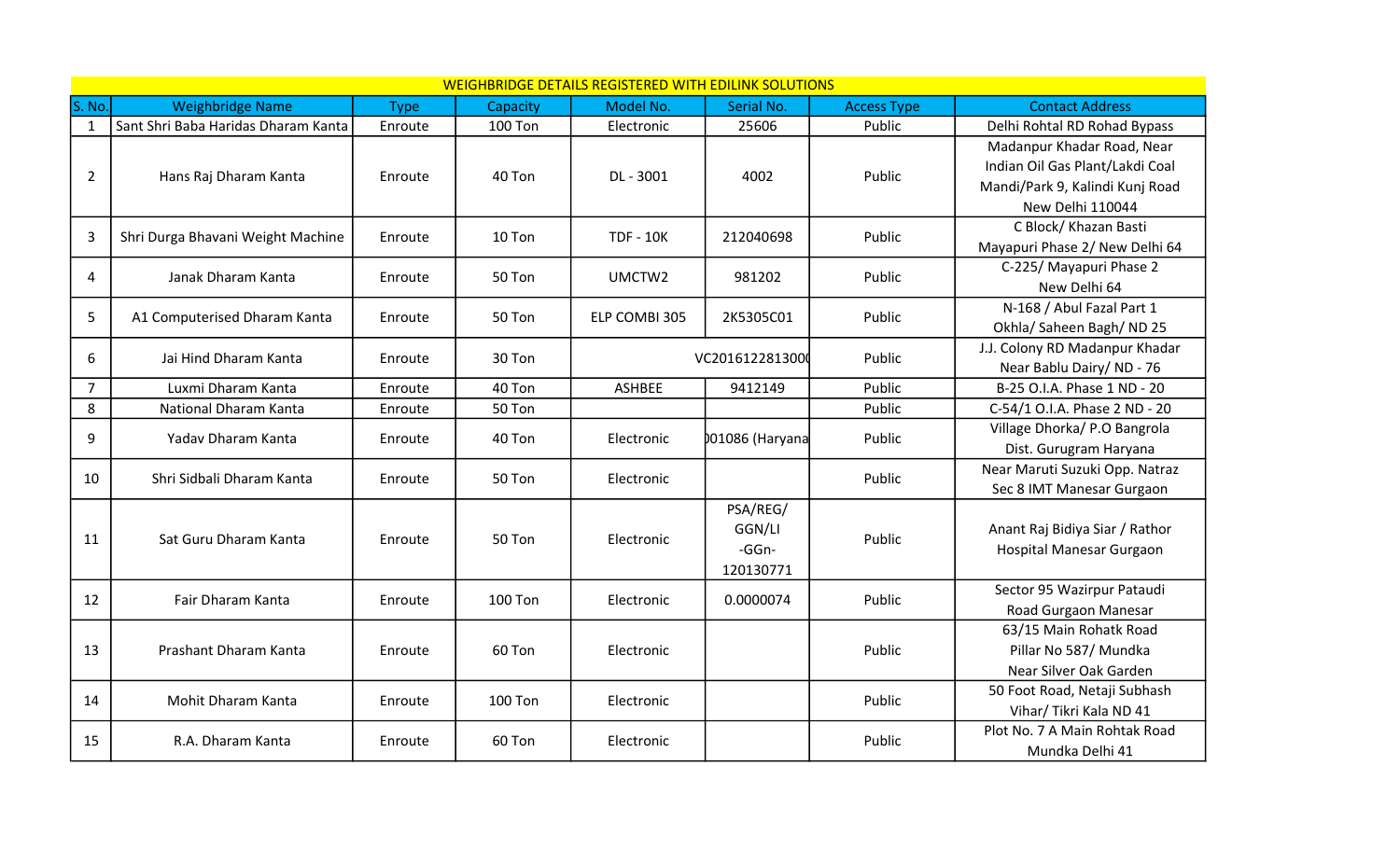|                | <b>WEIGHBRIDGE DETAILS REGISTERED WITH EDILINK SOLUTIONS</b> |             |                |                  |                 |                    |                                 |
|----------------|--------------------------------------------------------------|-------------|----------------|------------------|-----------------|--------------------|---------------------------------|
| S. No.         | <b>Weighbridge Name</b>                                      | <b>Type</b> | Capacity       | Model No.        | Serial No.      | <b>Access Type</b> | <b>Contact Address</b>          |
| $\mathbf{1}$   | Sant Shri Baba Haridas Dharam Kanta                          | Enroute     | <b>100 Ton</b> | Electronic       | 25606           | Public             | Delhi Rohtal RD Rohad Bypass    |
|                |                                                              |             |                |                  |                 |                    | Madanpur Khadar Road, Near      |
| $\overline{2}$ | Hans Raj Dharam Kanta                                        | Enroute     | 40 Ton         | DL - 3001        | 4002            | Public             | Indian Oil Gas Plant/Lakdi Coal |
|                |                                                              |             |                |                  |                 |                    | Mandi/Park 9, Kalindi Kunj Road |
|                |                                                              |             |                |                  |                 |                    | New Delhi 110044                |
| 3              | Shri Durga Bhavani Weight Machine                            | Enroute     | 10 Ton         | <b>TDF - 10K</b> | 212040698       | Public             | C Block/ Khazan Basti           |
|                |                                                              |             |                |                  |                 |                    | Mayapuri Phase 2/ New Delhi 64  |
| 4              | Janak Dharam Kanta                                           | Enroute     | 50 Ton         | UMCTW2           | 981202          | Public             | C-225/ Mayapuri Phase 2         |
|                |                                                              |             |                |                  |                 |                    | New Delhi 64                    |
| 5              | A1 Computerised Dharam Kanta                                 | Enroute     | 50 Ton         | ELP COMBI 305    | 2K5305C01       | Public             | N-168 / Abul Fazal Part 1       |
|                |                                                              |             |                |                  |                 |                    | Okhla/ Saheen Bagh/ ND 25       |
| 6              | Jai Hind Dharam Kanta                                        | Enroute     | 30 Ton         |                  | VC2016122813000 | Public             | J.J. Colony RD Madanpur Khadar  |
|                |                                                              |             |                |                  |                 |                    | Near Bablu Dairy/ ND - 76       |
| $\overline{7}$ | Luxmi Dharam Kanta                                           | Enroute     | 40 Ton         | <b>ASHBEE</b>    | 9412149         | Public             | B-25 O.I.A. Phase 1 ND - 20     |
| 8              | National Dharam Kanta                                        | Enroute     | 50 Ton         |                  |                 | Public             | C-54/1 O.I.A. Phase 2 ND - 20   |
| 9              | Yadav Dharam Kanta                                           | Enroute     | 40 Ton         | Electronic       | 001086 (Haryana | Public             | Village Dhorka/ P.O Bangrola    |
|                |                                                              |             |                |                  |                 |                    | Dist. Gurugram Haryana          |
| 10             | Shri Sidbali Dharam Kanta                                    | Enroute     | 50 Ton         | Electronic       |                 | Public             | Near Maruti Suzuki Opp. Natraz  |
|                |                                                              |             |                |                  |                 |                    | Sec 8 IMT Manesar Gurgaon       |
|                | Sat Guru Dharam Kanta                                        | Enroute     | 50 Ton         | Electronic       | PSA/REG/        | Public             |                                 |
| 11             |                                                              |             |                |                  | GGN/LI          |                    | Anant Raj Bidiya Siar / Rathor  |
|                |                                                              |             |                |                  | -GGn-           |                    | Hospital Manesar Gurgaon        |
|                |                                                              |             |                |                  | 120130771       |                    |                                 |
| 12             | Fair Dharam Kanta                                            | Enroute     | 100 Ton        | Electronic       | 0.0000074       | Public             | Sector 95 Wazirpur Pataudi      |
|                |                                                              |             |                |                  |                 |                    | Road Gurgaon Manesar            |
| 13             | Prashant Dharam Kanta                                        | Enroute     | 60 Ton         | Electronic       |                 | Public             | 63/15 Main Rohatk Road          |
|                |                                                              |             |                |                  |                 |                    | Pillar No 587/ Mundka           |
|                |                                                              |             |                |                  |                 |                    | Near Silver Oak Garden          |
| 14             | Mohit Dharam Kanta                                           | Enroute     | <b>100 Ton</b> | Electronic       |                 | Public             | 50 Foot Road, Netaji Subhash    |
|                |                                                              |             |                |                  |                 |                    | Vihar/ Tikri Kala ND 41         |
| 15             | R.A. Dharam Kanta                                            | Enroute     | 60 Ton         | Electronic       |                 | Public             | Plot No. 7 A Main Rohtak Road   |
|                |                                                              |             |                |                  |                 |                    | Mundka Delhi 41                 |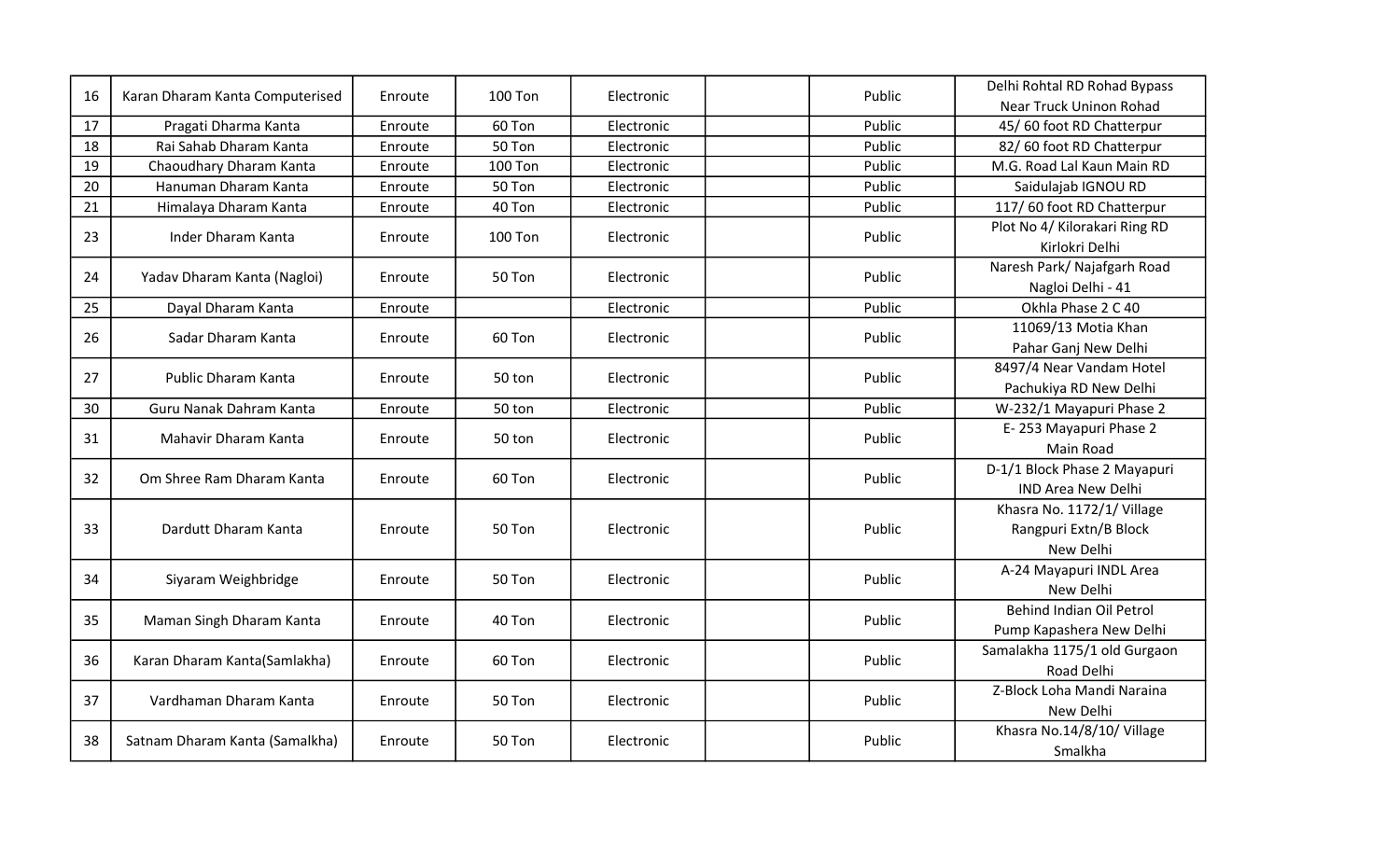| 16 | Karan Dharam Kanta Computerised | Enroute | <b>100 Ton</b> | Electronic | Public | Delhi Rohtal RD Rohad Bypass  |
|----|---------------------------------|---------|----------------|------------|--------|-------------------------------|
|    |                                 |         |                |            |        | Near Truck Uninon Rohad       |
| 17 | Pragati Dharma Kanta            | Enroute | 60 Ton         | Electronic | Public | 45/60 foot RD Chatterpur      |
| 18 | Rai Sahab Dharam Kanta          | Enroute | 50 Ton         | Electronic | Public | 82/60 foot RD Chatterpur      |
| 19 | Chaoudhary Dharam Kanta         | Enroute | <b>100 Ton</b> | Electronic | Public | M.G. Road Lal Kaun Main RD    |
| 20 | Hanuman Dharam Kanta            | Enroute | 50 Ton         | Electronic | Public | Saidulajab IGNOU RD           |
| 21 | Himalaya Dharam Kanta           | Enroute | 40 Ton         | Electronic | Public | 117/60 foot RD Chatterpur     |
| 23 | Inder Dharam Kanta              | Enroute | <b>100 Ton</b> | Electronic | Public | Plot No 4/ Kilorakari Ring RD |
|    |                                 |         |                |            |        | Kirlokri Delhi                |
| 24 | Yadav Dharam Kanta (Nagloi)     | Enroute | 50 Ton         | Electronic | Public | Naresh Park/ Najafgarh Road   |
|    |                                 |         |                |            |        | Nagloi Delhi - 41             |
| 25 | Dayal Dharam Kanta              | Enroute |                | Electronic | Public | Okhla Phase 2 C 40            |
| 26 | Sadar Dharam Kanta              |         | 60 Ton         | Electronic | Public | 11069/13 Motia Khan           |
|    |                                 | Enroute |                |            |        | Pahar Ganj New Delhi          |
| 27 |                                 | Enroute |                |            | Public | 8497/4 Near Vandam Hotel      |
|    | Public Dharam Kanta             |         | 50 ton         | Electronic |        | Pachukiya RD New Delhi        |
| 30 | Guru Nanak Dahram Kanta         | Enroute | 50 ton         | Electronic | Public | W-232/1 Mayapuri Phase 2      |
| 31 | Mahavir Dharam Kanta            | Enroute | 50 ton         | Electronic | Public | E-253 Mayapuri Phase 2        |
|    |                                 |         |                |            |        | Main Road                     |
|    | Om Shree Ram Dharam Kanta       | Enroute | 60 Ton         | Electronic |        | D-1/1 Block Phase 2 Mayapuri  |
| 32 |                                 |         |                |            | Public | <b>IND Area New Delhi</b>     |
|    | Dardutt Dharam Kanta            | Enroute | 50 Ton         | Electronic |        | Khasra No. 1172/1/ Village    |
| 33 |                                 |         |                |            | Public | Rangpuri Extn/B Block         |
|    |                                 |         |                |            |        | New Delhi                     |
|    | Siyaram Weighbridge             |         | 50 Ton         | Electronic | Public | A-24 Mayapuri INDL Area       |
| 34 |                                 | Enroute |                |            |        | New Delhi                     |
|    | Maman Singh Dharam Kanta        |         | 40 Ton         | Electronic |        | Behind Indian Oil Petrol      |
| 35 |                                 | Enroute |                |            | Public | Pump Kapashera New Delhi      |
| 36 |                                 |         | 60 Ton         | Electronic | Public | Samalakha 1175/1 old Gurgaon  |
|    | Karan Dharam Kanta(Samlakha)    | Enroute |                |            |        | Road Delhi                    |
|    | Vardhaman Dharam Kanta          | Enroute | 50 Ton         | Electronic |        | Z-Block Loha Mandi Naraina    |
| 37 |                                 |         |                |            | Public | New Delhi                     |
| 38 | Satnam Dharam Kanta (Samalkha)  | Enroute | 50 Ton         | Electronic |        | Khasra No.14/8/10/ Village    |
|    |                                 |         |                |            | Public | Smalkha                       |